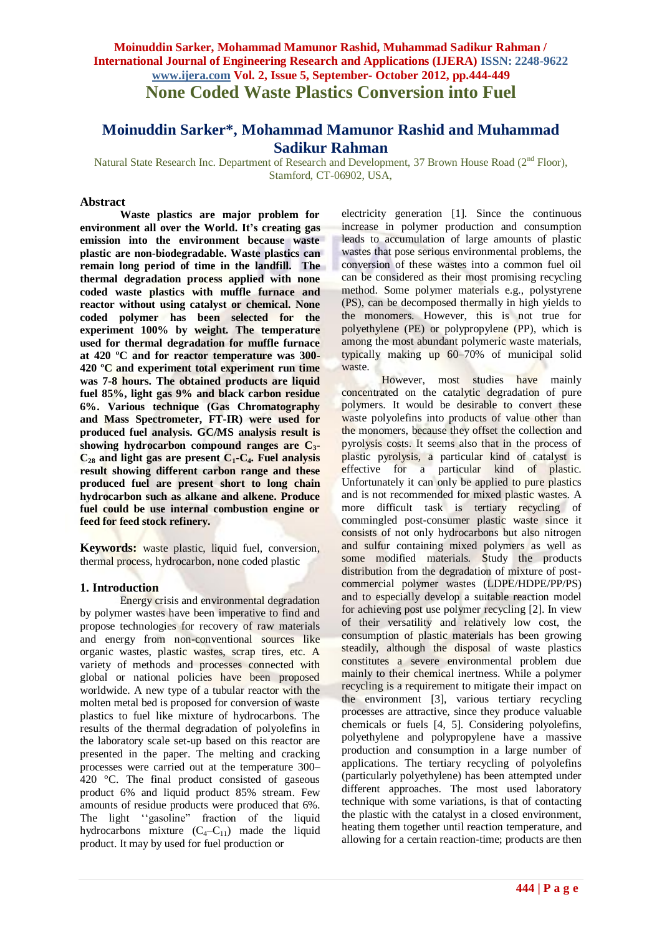## **Moinuddin Sarker, Mohammad Mamunor Rashid, Muhammad Sadikur Rahman / International Journal of Engineering Research and Applications (IJERA) ISSN: 2248-9622 www.ijera.com Vol. 2, Issue 5, September- October 2012, pp.444-449 None Coded Waste Plastics Conversion into Fuel**

# **Moinuddin Sarker\*, Mohammad Mamunor Rashid and Muhammad Sadikur Rahman**

Natural State Research Inc. Department of Research and Development, 37 Brown House Road (2<sup>nd</sup> Floor), Stamford, CT-06902, USA,

### **Abstract**

**Waste plastics are major problem for environment all over the World. It's creating gas emission into the environment because waste plastic are non-biodegradable. Waste plastics can remain long period of time in the landfill. The thermal degradation process applied with none coded waste plastics with muffle furnace and reactor without using catalyst or chemical. None coded polymer has been selected for the experiment 100% by weight. The temperature used for thermal degradation for muffle furnace at 420 ºC and for reactor temperature was 300- 420 ºC and experiment total experiment run time was 7-8 hours. The obtained products are liquid fuel 85%, light gas 9% and black carbon residue 6%. Various technique (Gas Chromatography and Mass Spectrometer, FT-IR) were used for produced fuel analysis. GC/MS analysis result is showing hydrocarbon compound ranges are C3- C<sup>28</sup> and light gas are present C1-C4. Fuel analysis result showing different carbon range and these produced fuel are present short to long chain hydrocarbon such as alkane and alkene. Produce fuel could be use internal combustion engine or feed for feed stock refinery.** 

**Keywords:** waste plastic, liquid fuel, conversion, thermal process, hydrocarbon, none coded plastic

#### **1. Introduction**

Energy crisis and environmental degradation by polymer wastes have been imperative to find and propose technologies for recovery of raw materials and energy from non-conventional sources like organic wastes, plastic wastes, scrap tires, etc. A variety of methods and processes connected with global or national policies have been proposed worldwide. A new type of a tubular reactor with the molten metal bed is proposed for conversion of waste plastics to fuel like mixture of hydrocarbons. The results of the thermal degradation of polyolefins in the laboratory scale set-up based on this reactor are presented in the paper. The melting and cracking processes were carried out at the temperature 300– 420 °C. The final product consisted of gaseous product 6% and liquid product 85% stream. Few amounts of residue products were produced that 6%. The light ''gasoline" fraction of the liquid hydrocarbons mixture  $(C_4-C_{11})$  made the liquid product. It may by used for fuel production or

electricity generation [1]. Since the continuous increase in polymer production and consumption leads to accumulation of large amounts of plastic wastes that pose serious environmental problems, the conversion of these wastes into a common fuel oil can be considered as their most promising recycling method. Some polymer materials e.g., polystyrene (PS), can be decomposed thermally in high yields to the monomers. However, this is not true for polyethylene (PE) or polypropylene (PP), which is among the most abundant polymeric waste materials, typically making up 60–70% of municipal solid waste.

However, most studies have mainly concentrated on the catalytic degradation of pure polymers. It would be desirable to convert these waste polyolefins into products of value other than the monomers, because they offset the collection and pyrolysis costs. It seems also that in the process of plastic pyrolysis, a particular kind of catalyst is effective for a particular kind of plastic. Unfortunately it can only be applied to pure plastics and is not recommended for mixed plastic wastes. A more difficult task is tertiary recycling of commingled post-consumer plastic waste since it consists of not only hydrocarbons but also nitrogen and sulfur containing mixed polymers as well as some modified materials. Study the products distribution from the degradation of mixture of postcommercial polymer wastes (LDPE/HDPE/PP/PS) and to especially develop a suitable reaction model for achieving post use polymer recycling [2]. In view of their versatility and relatively low cost, the consumption of plastic materials has been growing steadily, although the disposal of waste plastics constitutes a severe environmental problem due mainly to their chemical inertness. While a polymer recycling is a requirement to mitigate their impact on the environment [3], various tertiary recycling processes are attractive, since they produce valuable chemicals or fuels [4, 5]. Considering polyolefins, polyethylene and polypropylene have a massive production and consumption in a large number of applications. The tertiary recycling of polyolefins (particularly polyethylene) has been attempted under different approaches. The most used laboratory technique with some variations, is that of contacting the plastic with the catalyst in a closed environment, heating them together until reaction temperature, and allowing for a certain reaction-time; products are then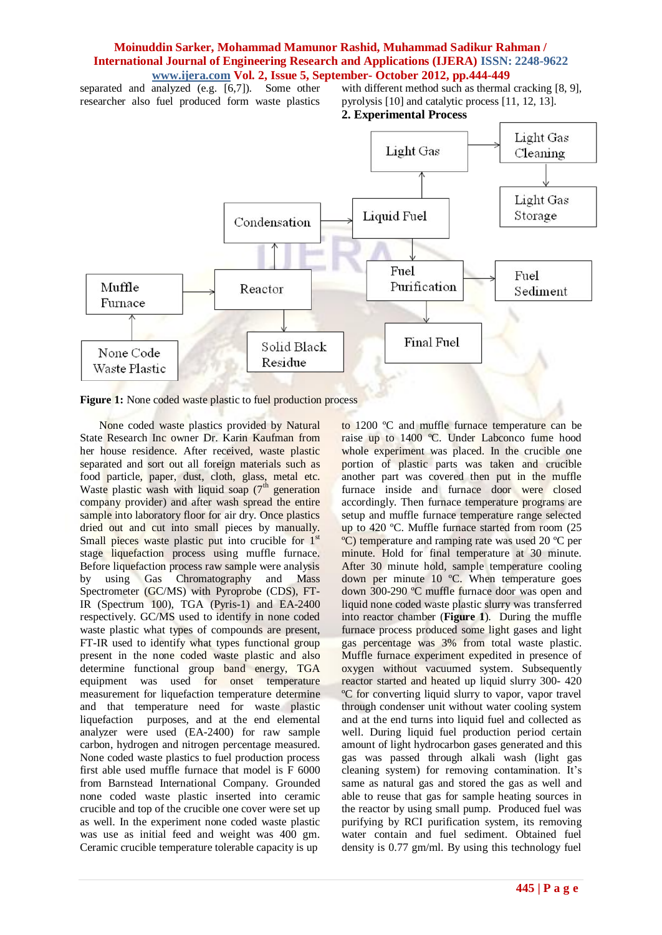separated and analyzed (e.g. [6,7]). Some other researcher also fuel produced form waste plastics

with different method such as thermal cracking [8, 9], pyrolysis [10] and catalytic process [11, 12, 13]. **2. Experimental Process** 



Figure 1: None coded waste plastic to fuel production process

 None coded waste plastics provided by Natural State Research Inc owner Dr. Karin Kaufman from her house residence. After received, waste plastic separated and sort out all foreign materials such as food particle, paper, dust, cloth, glass, metal etc. Waste plastic wash with liquid soap  $(7<sup>th</sup>)$  generation company provider) and after wash spread the entire sample into laboratory floor for air dry. Once plastics dried out and cut into small pieces by manually. Small pieces waste plastic put into crucible for 1<sup>st</sup> stage liquefaction process using muffle furnace. Before liquefaction process raw sample were analysis by using Gas Chromatography and Mass Spectrometer (GC/MS) with Pyroprobe (CDS), FT-IR (Spectrum 100), TGA (Pyris-1) and EA-2400 respectively. GC/MS used to identify in none coded waste plastic what types of compounds are present, FT-IR used to identify what types functional group present in the none coded waste plastic and also determine functional group band energy, TGA equipment was used for onset temperature measurement for liquefaction temperature determine and that temperature need for waste plastic liquefaction purposes, and at the end elemental analyzer were used (EA-2400) for raw sample carbon, hydrogen and nitrogen percentage measured. None coded waste plastics to fuel production process first able used muffle furnace that model is F 6000 from Barnstead International Company. Grounded none coded waste plastic inserted into ceramic crucible and top of the crucible one cover were set up as well. In the experiment none coded waste plastic was use as initial feed and weight was 400 gm. Ceramic crucible temperature tolerable capacity is up

to 1200 ºC and muffle furnace temperature can be raise up to 1400 ºC. Under Labconco fume hood whole experiment was placed. In the crucible one portion of plastic parts was taken and crucible another part was covered then put in the muffle furnace inside and furnace door were closed accordingly. Then furnace temperature programs are setup and muffle furnace temperature range selected up to 420 ºC. Muffle furnace started from room (25 ºC) temperature and ramping rate was used 20 ºC per minute. Hold for final temperature at 30 minute. After 30 minute hold, sample temperature cooling down per minute 10 ºC. When temperature goes down 300-290 ºC muffle furnace door was open and liquid none coded waste plastic slurry was transferred into reactor chamber (**Figure 1**). During the muffle furnace process produced some light gases and light gas percentage was 3% from total waste plastic. Muffle furnace experiment expedited in presence of oxygen without vacuumed system. Subsequently reactor started and heated up liquid slurry 300- 420 ºC for converting liquid slurry to vapor, vapor travel through condenser unit without water cooling system and at the end turns into liquid fuel and collected as well. During liquid fuel production period certain amount of light hydrocarbon gases generated and this gas was passed through alkali wash (light gas cleaning system) for removing contamination. It's same as natural gas and stored the gas as well and able to reuse that gas for sample heating sources in the reactor by using small pump. Produced fuel was purifying by RCI purification system, its removing water contain and fuel sediment. Obtained fuel density is 0.77 gm/ml. By using this technology fuel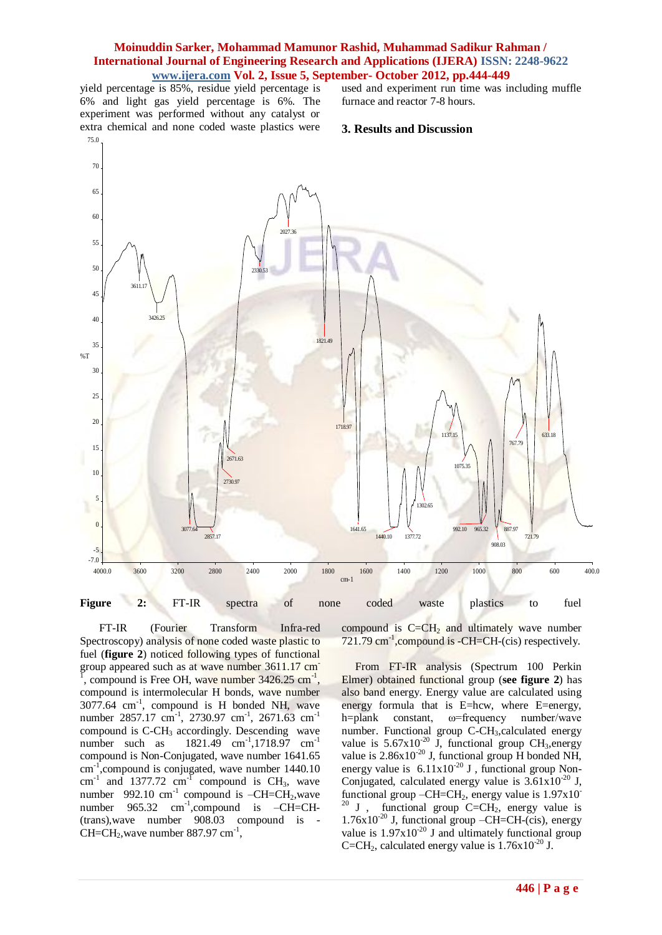yield percentage is 85%, residue yield percentage is 6% and light gas yield percentage is 6%. The experiment was performed without any catalyst or extra chemical and none coded waste plastics were 75.0

used and experiment run time was including muffle furnace and reactor 7-8 hours.

#### **3. Results and Discussion**



 FT-IR (Fourier Transform Infra-red Spectroscopy) analysis of none coded waste plastic to fuel (**figure 2**) noticed following types of functional group appeared such as at wave number 3611.17 cm-<sup>1</sup>, compound is Free OH, wave number  $3426.25 \text{ cm}^{-1}$ , compound is intermolecular H bonds, wave number 3077.64 cm-1 , compound is H bonded NH, wave number 2857.17 cm<sup>-1</sup>, 2730.97 cm<sup>-1</sup>, 2671.63 cm<sup>-1</sup> compound is  $C$ -CH<sub>3</sub> accordingly. Descending wave number such as 1821.49 cm<sup>-1</sup>,1718.97 cm<sup>-1</sup> compound is Non-Conjugated, wave number 1641.65 cm<sup>-1</sup>, compound is conjugated, wave number 1440.10 cm<sup>-1</sup> and 1377.72 cm<sup>-1</sup> compound is CH<sub>3</sub>, wave number  $992.10 \text{ cm}^{-1}$  compound is  $-CH=CH_2$ , wave number  $965.32$  cm<sup>-1</sup>,compound is  $-CH=CH$ (trans),wave number 908.03 compound is -  $CH=CH<sub>2</sub>$ , wave number 887.97 cm<sup>-1</sup>,

compound is  $C=CH_2$  and ultimately wave number 721.79 cm<sup>-1</sup>, compound is -CH=CH-(cis) respectively.

 From FT-IR analysis (Spectrum 100 Perkin Elmer) obtained functional group (**see figure 2**) has also band energy. Energy value are calculated using energy formula that is E=hcw, where E=energy, h=plank constant, ω=frequency number/wave number. Functional group C-CH<sub>3</sub>, calculated energy value is  $5.67 \times 10^{-20}$  J, functional group CH<sub>3</sub>, energy value is  $2.86x10^{-20}$  J, functional group H bonded NH, energy value is  $6.11x10^{-20}$  J, functional group Non-Conjugated, calculated energy value is  $3.61x10^{-20}$  J, functional group  $-CH=CH_2$ , energy value is  $1.97x10^{-7}$  $20$  J, functional group C=CH<sub>2</sub>, energy value is  $1.76x10^{-20}$  J, functional group –CH=CH-(cis), energy value is  $1.97x10^{20}$  J and ultimately functional group C=CH<sub>2</sub>, calculated energy value is  $1.76x10^{-20}$  J.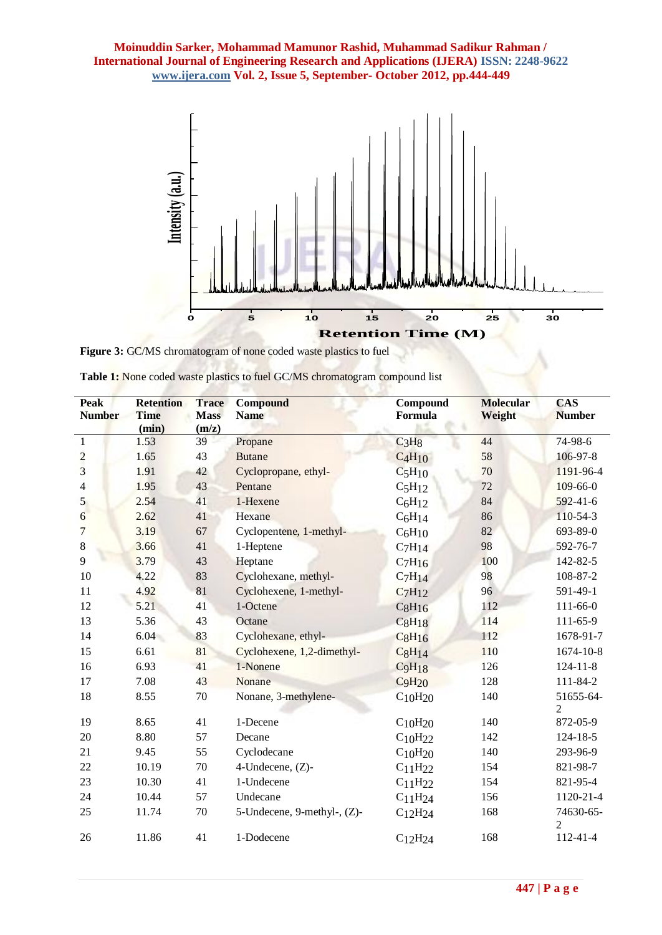

Figure 3: GC/MS chromatogram of none coded waste plastics to fuel

**ACTIONS AND ACTION** 

| <b>Table 1:</b> None coded waste plastics to fuel GC/MS chromatogram compound list |  |  |
|------------------------------------------------------------------------------------|--|--|
|                                                                                    |  |  |

٠

| <b>Peak</b><br><b>Number</b> | <b>Retention</b><br><b>Time</b><br>(min) | <b>Trace</b><br><b>Mass</b><br>(m/z) | <b>Compound</b><br><b>Name</b> | Compound<br>Formula             | <b>Molecular</b><br>Weight | <b>CAS</b><br><b>Number</b> |
|------------------------------|------------------------------------------|--------------------------------------|--------------------------------|---------------------------------|----------------------------|-----------------------------|
| $\mathbf{1}$                 | 1.53                                     | 39                                   | Propane                        | C <sub>3</sub> H <sub>8</sub>   | 44                         | 74-98-6                     |
|                              | 1.65                                     | 43                                   | <b>Butane</b>                  | $C_4H_{10}$                     | 58                         | 106-97-8                    |
| $\frac{2}{3}$                | 1.91                                     | 42                                   | Cyclopropane, ethyl-           | $C_5H_{10}$                     | 70                         | 1191-96-4                   |
| $\overline{4}$               | 1.95                                     | 43                                   | Pentane                        | C <sub>5</sub> H <sub>12</sub>  | 72                         | $109 - 66 - 0$              |
| 5                            | 2.54                                     | 41                                   | 1-Hexene                       | $C_6H_{12}$                     | 84                         | $592 - 41 - 6$              |
| 6                            | 2.62                                     | 41                                   | Hexane                         | $C_6H_{14}$                     | 86                         | 110-54-3                    |
| 7                            | 3.19                                     | 67                                   | Cyclopentene, 1-methyl-        | C <sub>6</sub> H <sub>10</sub>  | 82                         | 693-89-0                    |
| $\,8\,$                      | 3.66                                     | 41                                   | 1-Heptene                      | $C_7H_{14}$                     | 98                         | 592-76-7                    |
| 9                            | 3.79                                     | 43                                   | Heptane                        | $C_7H_{16}$                     | 100                        | 142-82-5                    |
| 10                           | 4.22                                     | 83                                   | Cyclohexane, methyl-           | $C_7H_{14}$                     | 98                         | 108-87-2                    |
| 11                           | 4.92                                     | 81                                   | Cyclohexene, 1-methyl-         | $C_7H_{12}$                     | 96                         | 591-49-1                    |
| 12                           | 5.21                                     | 41                                   | 1-Octene                       | $C_8H_{16}$                     | 112                        | $111 - 66 - 0$              |
| 13                           | 5.36                                     | 43                                   | Octane                         | $C_8H_{18}$                     | 114                        | $111 - 65 - 9$              |
| 14                           | 6.04                                     | 83                                   | Cyclohexane, ethyl-            | $C_8H_{16}$                     | 112                        | 1678-91-7                   |
| 15                           | 6.61                                     | 81                                   | Cyclohexene, 1,2-dimethyl-     | $C_8H_{14}$                     | 110                        | 1674-10-8                   |
| 16                           | 6.93                                     | 41                                   | 1-Nonene                       | C <sub>9</sub> H <sub>18</sub>  | 126                        | $124 - 11 - 8$              |
| 17                           | 7.08                                     | 43                                   | Nonane                         | C <sub>9</sub> H <sub>20</sub>  | 128                        | 111-84-2                    |
| 18                           | 8.55                                     | 70                                   | Nonane, 3-methylene-           | $C_{10}H_{20}$                  | 140                        | 51655-64-<br>$\overline{2}$ |
| 19                           | 8.65                                     | 41                                   | 1-Decene                       | $C_{10}H_{20}$                  | 140                        | 872-05-9                    |
| 20                           | 8.80                                     | 57                                   | Decane                         | $C_{10}H_{22}$                  | 142                        | $124 - 18 - 5$              |
| 21                           | 9.45                                     | 55                                   | Cyclodecane                    | $C_{10}H_{20}$                  | 140                        | 293-96-9                    |
| 22                           | 10.19                                    | 70                                   | 4-Undecene, (Z)-               | $C_{11}H_{22}$                  | 154                        | 821-98-7                    |
| 23                           | 10.30                                    | 41                                   | 1-Undecene                     | C <sub>11</sub> H <sub>22</sub> | 154                        | 821-95-4                    |
| 24                           | 10.44                                    | 57                                   | Undecane                       | $C_{11}H_{24}$                  | 156                        | 1120-21-4                   |
| 25                           | 11.74                                    | 70                                   | 5-Undecene, 9-methyl-, (Z)-    | $C_{12}H_{24}$                  | 168                        | 74630-65-<br>$\overline{2}$ |
| 26                           | 11.86                                    | 41                                   | 1-Dodecene                     | C <sub>12</sub> H <sub>24</sub> | 168                        | 112-41-4                    |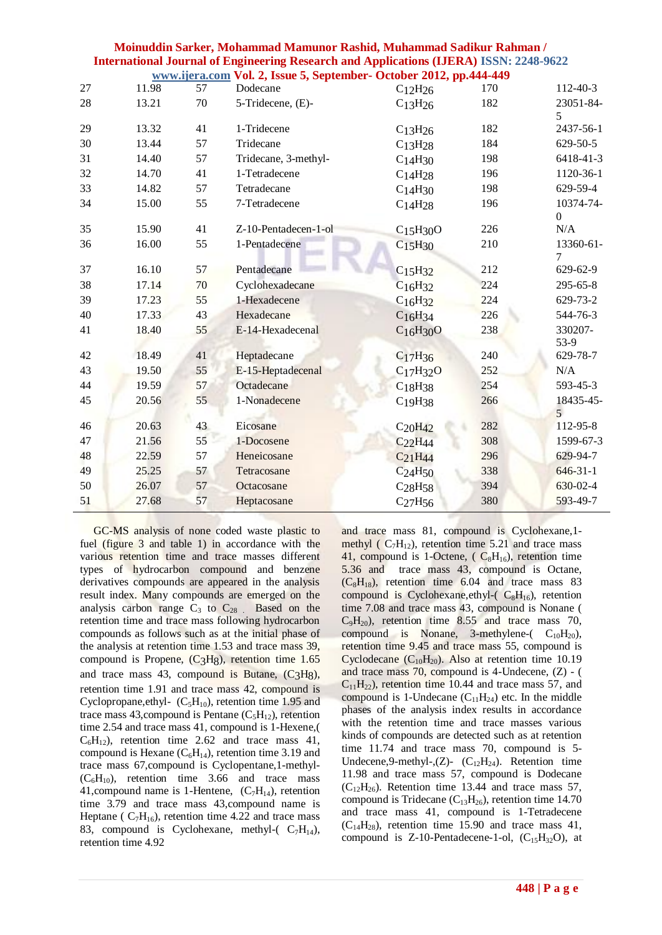| Moinuddin Sarker, Mohammad Mamunor Rashid, Muhammad Sadikur Rahman /                          |
|-----------------------------------------------------------------------------------------------|
| <b>International Journal of Engineering Research and Applications (IJERA) ISSN: 2248-9622</b> |
| www.ijera.com Vol. 2, Issue 5, September- October 2012, pp.444-449                            |

|    |       |    |                      | —, гг                             |     |                             |
|----|-------|----|----------------------|-----------------------------------|-----|-----------------------------|
| 27 | 11.98 | 57 | Dodecane             | $C_{12}H_{26}$                    | 170 | $112 - 40 - 3$              |
| 28 | 13.21 | 70 | 5-Tridecene, (E)-    | $C_{13}H_{26}$                    | 182 | 23051-84-                   |
|    |       |    |                      |                                   |     | 5                           |
| 29 | 13.32 | 41 | 1-Tridecene          | C <sub>13</sub> H <sub>26</sub>   | 182 | 2437-56-1                   |
| 30 | 13.44 | 57 | Tridecane            | C <sub>13</sub> H <sub>28</sub>   | 184 | 629-50-5                    |
| 31 | 14.40 | 57 | Tridecane, 3-methyl- | $C_{14}H_{30}$                    | 198 | 6418-41-3                   |
| 32 | 14.70 | 41 | 1-Tetradecene        | $C_{14}H_{28}$                    | 196 | 1120-36-1                   |
| 33 | 14.82 | 57 | Tetradecane          | $C_{14}H_{30}$                    | 198 | 629-59-4                    |
| 34 | 15.00 | 55 | 7-Tetradecene        | C <sub>14</sub> H <sub>28</sub>   | 196 | 10374-74-                   |
|    |       |    |                      |                                   |     | $\Omega$                    |
| 35 | 15.90 | 41 | Z-10-Pentadecen-1-ol | C <sub>15</sub> H <sub>30</sub> O | 226 | N/A                         |
| 36 | 16.00 | 55 | 1-Pentadecene        | C <sub>15</sub> H <sub>30</sub>   | 210 | 13360-61-<br>7              |
| 37 | 16.10 | 57 | Pentadecane          | C <sub>15</sub> H <sub>32</sub>   | 212 | 629-62-9                    |
| 38 | 17.14 | 70 | Cyclohexadecane      | $C_{16}H_{32}$                    | 224 | 295-65-8                    |
| 39 | 17.23 | 55 | 1-Hexadecene         | $C_{16}H_{32}$                    | 224 | 629-73-2                    |
| 40 | 17.33 | 43 | Hexadecane           | $C_{16}H_{34}$                    | 226 | 544-76-3                    |
| 41 | 18.40 | 55 | E-14-Hexadecenal     | $C_{16}H_{30}O$                   | 238 | 330207-                     |
|    |       |    |                      |                                   |     | 53-9                        |
| 42 | 18.49 | 41 | Heptadecane          | C <sub>17</sub> H <sub>36</sub>   | 240 | 629-78-7                    |
| 43 | 19.50 | 55 | E-15-Heptadecenal    | C <sub>17</sub> H <sub>32</sub> O | 252 | N/A                         |
| 44 | 19.59 | 57 | Octadecane           | C <sub>18</sub> H <sub>38</sub>   | 254 | 593-45-3                    |
| 45 | 20.56 | 55 | 1-Nonadecene         | C <sub>19</sub> H <sub>38</sub>   | 266 | 18435-45-<br>$\overline{5}$ |
| 46 | 20.63 | 43 | Eicosane             | $C_{20}H_{42}$                    | 282 | 112-95-8                    |
| 47 | 21.56 | 55 | 1-Docosene           | $C_{22}H_{44}$                    | 308 | 1599-67-3                   |
| 48 | 22.59 | 57 | Heneicosane          | C <sub>21</sub> H <sub>44</sub>   | 296 | 629-94-7                    |
| 49 | 25.25 | 57 | Tetracosane          | C <sub>24</sub> H <sub>50</sub>   | 338 | $646-31-1$                  |
| 50 | 26.07 | 57 | Octacosane           | C <sub>28</sub> H <sub>58</sub>   | 394 | 630-02-4                    |
| 51 | 27.68 | 57 | Heptacosane          | C <sub>27</sub> H <sub>56</sub>   | 380 | 593-49-7                    |
|    |       |    |                      |                                   |     |                             |

 GC-MS analysis of none coded waste plastic to fuel (figure 3 and table 1) in accordance with the various retention time and trace masses different types of hydrocarbon compound and benzene derivatives compounds are appeared in the analysis result index. Many compounds are emerged on the analysis carbon range  $C_3$  to  $C_{28}$ . Based on the retention time and trace mass following hydrocarbon compounds as follows such as at the initial phase of the analysis at retention time 1.53 and trace mass 39, compound is Propene, (C3H8), retention time 1.65 and trace mass 43, compound is Butane,  $(C<sub>3</sub>H<sub>8</sub>)$ , retention time 1.91 and trace mass 42, compound is Cyclopropane,ethyl-  $(C_5H_{10})$ , retention time 1.95 and trace mass 43, compound is Pentane  $(C_5H_{12})$ , retention time 2.54 and trace mass 41, compound is 1-Hexene,(  $C_6H_{12}$ , retention time 2.62 and trace mass 41, compound is Hexane  $(C_6H_{14})$ , retention time 3.19 and trace mass 67,compound is Cyclopentane,1-methyl-  $(C_6H_{10})$ , retention time 3.66 and trace mass 41, compound name is 1-Hentene,  $(C_7H_{14})$ , retention time 3.79 and trace mass 43,compound name is Heptane ( $C_7H_{16}$ ), retention time 4.22 and trace mass 83, compound is Cyclohexane, methyl- $(C_7H_{14})$ , retention time 4.92

and trace mass 81, compound is Cyclohexane,1 methyl ( $C_7H_{12}$ ), retention time 5.21 and trace mass 41, compound is 1-Octene,  $(C_8H_{16})$ , retention time 5.36 and trace mass 43, compound is Octane,  $(C_8H_{18})$ , retention time 6.04 and trace mass 83 compound is Cyclohexane, ethyl- $(C_8H_{16})$ , retention time 7.08 and trace mass 43, compound is Nonane (  $C_9H_{20}$ , retention time 8.55 and trace mass 70, compound is Nonane, 3-methylene-( $C_{10}H_{20}$ ), retention time 9.45 and trace mass 55, compound is Cyclodecane  $(C_{10}H_{20})$ . Also at retention time 10.19 and trace mass 70, compound is 4-Undecene, (Z) - (  $C_{11}H_{22}$ , retention time 10.44 and trace mass 57, and compound is 1-Undecane  $(C_{11}H_{24})$  etc. In the middle phases of the analysis index results in accordance with the retention time and trace masses various kinds of compounds are detected such as at retention time 11.74 and trace mass 70, compound is 5- Undecene, 9-methyl-,  $(Z)$ -  $(C_{12}H_{24})$ . Retention time 11.98 and trace mass 57, compound is Dodecane  $(C_{12}H_{26})$ . Retention time 13.44 and trace mass 57, compound is Tridecane  $(C_{13}H_{26})$ , retention time 14.70 and trace mass 41, compound is 1-Tetradecene  $(C_{14}H_{28})$ , retention time 15.90 and trace mass 41, compound is  $Z$ -10-Pentadecene-1-ol,  $(C_{15}H_{32}O)$ , at